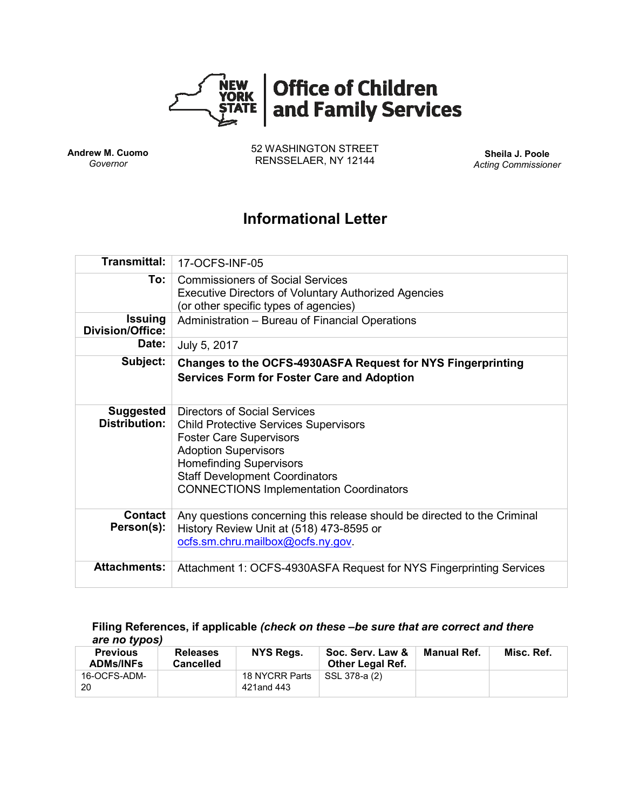

**Andrew M. Cuomo** *Governor*

52 WASHINGTON STREET RENSSELAER, NY 12144 **Sheila J. Poole**

*Acting Commissioner*

# **Informational Letter**

| Transmittal:                              | 17-OCFS-INF-05                                                                                                                                                                                                                                                                    |  |  |  |  |
|-------------------------------------------|-----------------------------------------------------------------------------------------------------------------------------------------------------------------------------------------------------------------------------------------------------------------------------------|--|--|--|--|
| To: l                                     | <b>Commissioners of Social Services</b><br><b>Executive Directors of Voluntary Authorized Agencies</b><br>(or other specific types of agencies)                                                                                                                                   |  |  |  |  |
| <b>Issuing</b><br><b>Division/Office:</b> | Administration - Bureau of Financial Operations                                                                                                                                                                                                                                   |  |  |  |  |
| Date:                                     | July 5, 2017                                                                                                                                                                                                                                                                      |  |  |  |  |
| Subject:                                  | Changes to the OCFS-4930ASFA Request for NYS Fingerprinting<br><b>Services Form for Foster Care and Adoption</b>                                                                                                                                                                  |  |  |  |  |
| <b>Suggested</b><br><b>Distribution:</b>  | <b>Directors of Social Services</b><br><b>Child Protective Services Supervisors</b><br><b>Foster Care Supervisors</b><br><b>Adoption Supervisors</b><br><b>Homefinding Supervisors</b><br><b>Staff Development Coordinators</b><br><b>CONNECTIONS Implementation Coordinators</b> |  |  |  |  |
| Contact<br>Person(s):                     | Any questions concerning this release should be directed to the Criminal<br>History Review Unit at (518) 473-8595 or<br>ocfs.sm.chru.mailbox@ocfs.ny.gov.                                                                                                                         |  |  |  |  |
| <b>Attachments:</b>                       | Attachment 1: OCFS-4930ASFA Request for NYS Fingerprinting Services                                                                                                                                                                                                               |  |  |  |  |

#### **Filing References, if applicable** *(check on these –be sure that are correct and there are no typos)*

| <b>Previous</b><br><b>ADMs/INFs</b> | <b>Releases</b><br><b>Cancelled</b> | NYS Regs.                    | Soc. Serv. Law &<br><b>Other Legal Ref.</b> | Manual Ref. | Misc. Ref. |
|-------------------------------------|-------------------------------------|------------------------------|---------------------------------------------|-------------|------------|
| 16-OCFS-ADM-<br>20                  |                                     | 18 NYCRR Parts<br>421and 443 | SSL 378-a (2)                               |             |            |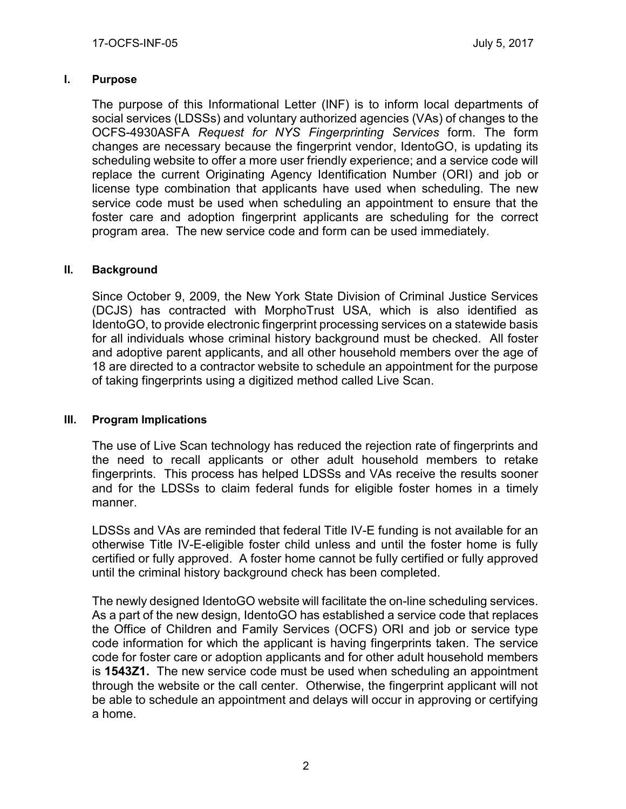#### **I. Purpose**

The purpose of this Informational Letter (INF) is to inform local departments of social services (LDSSs) and voluntary authorized agencies (VAs) of changes to the OCFS-4930ASFA *Request for NYS Fingerprinting Services* form. The form changes are necessary because the fingerprint vendor, IdentoGO, is updating its scheduling website to offer a more user friendly experience; and a service code will replace the current Originating Agency Identification Number (ORI) and job or license type combination that applicants have used when scheduling. The new service code must be used when scheduling an appointment to ensure that the foster care and adoption fingerprint applicants are scheduling for the correct program area. The new service code and form can be used immediately.

### **II. Background**

Since October 9, 2009, the New York State Division of Criminal Justice Services (DCJS) has contracted with MorphoTrust USA, which is also identified as IdentoGO, to provide electronic fingerprint processing services on a statewide basis for all individuals whose criminal history background must be checked. All foster and adoptive parent applicants, and all other household members over the age of 18 are directed to a contractor website to schedule an appointment for the purpose of taking fingerprints using a digitized method called Live Scan.

### **III. Program Implications**

The use of Live Scan technology has reduced the rejection rate of fingerprints and the need to recall applicants or other adult household members to retake fingerprints. This process has helped LDSSs and VAs receive the results sooner and for the LDSSs to claim federal funds for eligible foster homes in a timely manner.

LDSSs and VAs are reminded that federal Title IV-E funding is not available for an otherwise Title IV-E-eligible foster child unless and until the foster home is fully certified or fully approved. A foster home cannot be fully certified or fully approved until the criminal history background check has been completed.

The newly designed IdentoGO website will facilitate the on-line scheduling services. As a part of the new design, IdentoGO has established a service code that replaces the Office of Children and Family Services (OCFS) ORI and job or service type code information for which the applicant is having fingerprints taken. The service code for foster care or adoption applicants and for other adult household members is **1543Z1.** The new service code must be used when scheduling an appointment through the website or the call center. Otherwise, the fingerprint applicant will not be able to schedule an appointment and delays will occur in approving or certifying a home.